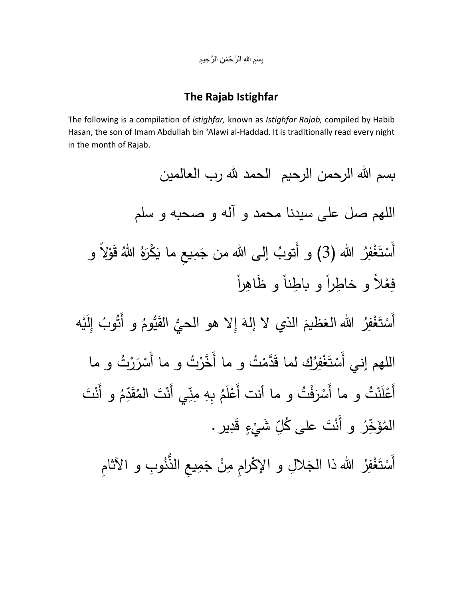بِسْمِ اللهِ الرَّحْمَنِ الرَّحِيمِ ِ

## **The Rajab Istighfar**

The following is a compilation of *istighfar,* known as *Istighfar Rajab,* compiled by Habib Hasan, the son of Imam Abdullah bin 'Alawi al-Haddad. It is traditionally read every night in the month of Rajab.

بسم الله الرحمن الرحيم الحمد لله رب العالمين اللهم صل على سيدنا محمد و آله و صحبه و سلم أَسْتَغْفِرُ الله (3) و أَتوبُ إلى الله من جَمِيعِ ما يَكْرَهُ اللهُ قَوْلاً و ْ ْ <u>ٔ</u> إلى الله من جَمِيعِ ما يَكْرَهُ اللّهُ َ **َـا**ّ **: ُ** ( و أَتوب فِعْلاً و خاطِراً و باطِناً و ظَاهِراً إِلَيْه ֦֘<u>֓</u> ُ و أَتُوبُ مُ أَسْتَغْفِرُ الله العَظيمَ الذي لا إلهَ إِلا هو الحيُّ القَيُّومُ .<br>ع َ مُ ْ ْ اللهم إني أَسْتَغْفِرُك لما قَدَّمْتُ و ما أَخَّرْتُ و ما أَسْرَرْتُ و ما َ ْ <u>ة</u> ْ ْ بِهِ مِنِّي أَعْلَنْتُ و ما أَسْرَفْتُ و ما أَنت أَعْلَمُ بِهِ مِنِّي أَنْتَ الْمُقَدِّمُ و أَنْتَ **م** <u>ة</u> َ ْ **م** مَ ة<br>وحم ءَٽِ<br>قد أَنْتَ الْمُ*ا* َ ۇ ا<br>ا المُؤَخِّرُ و أَنْتَ على كُلِّ شَيْءٍ قَدِيرٍ . **ّ** و أُنْتَ على كُلِّ ُ خِر

أَسْتَغْفِرُ الله ذا الجَلالِ و الإِكْرامِ مِنْ جَمِيعِ الذَّنُوبِ و الآثامِ **ـ** ْ ْ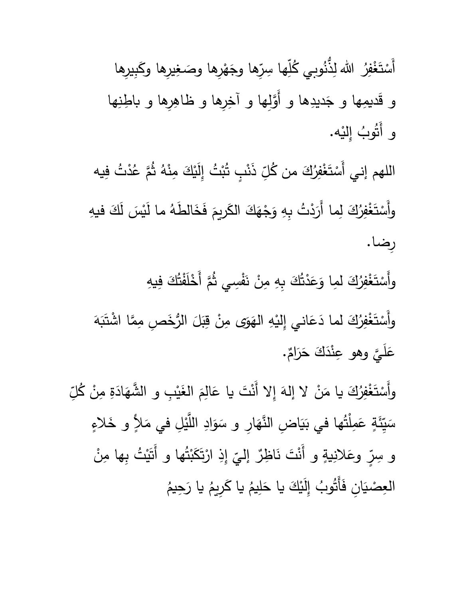أَسْتَغْفِرُ الله لِذُّنُوبي كُلِّها سِرِّها وجَهْرِها وصَغِيرِها وكَبِيرِها ْ ْ َ </sub> ֺ֧֝<sup>֚</sup> ر<br>م كُلِّها سِرِّها وجَهْرِها وصَغِيرِها وكَبِيرِها و قَديمِها و جَديدِها و أَوَّلِها و آخِرِها و ظاهِرِها و باطِنِها  $\ddot{\phantom{0}}$ و أَتُوبُ إِليْه. .<br>. ُ وب ُ أَت

ِّ ذَنْبٍ تُبْتُ إِلَيْكَ مِنْهُ ثُمَّ عُدْتُ فِيه .<br>ت <u>ا</u> اللهم إني أَسْتَغْفِرُكَ من كُلِّ َ ْ ْ وأَسْتَغْفِرُكَ لِما أَرَدْتُ بِهِ وَجْهَكَ الكَريمَ فَخَالطَهُ ما لَيْسَ لَكَ فيهِ .<br>ا  $\overline{\phantom{a}}$ مُ َ  $\ddot{\phantom{a}}$ <u>ً</u> َ ِ<br>نا ْ ْ ِرضا.

وأَسْتَغْفِرُكَ لمِا وَعَدْتُكَ بِهِ مِنْ نَفْسِي ثُمَّ أَخْلَفْتُكَ فِيهِ .<br>ا .<br>-<br>-<u>ء</u> <u>و</u> َ ْ ْ .<br>ت ة<br>م ان<br>ا .<br>-وأَسْتَغْفِرُكَ لما دَعَاني إِلَيْهِ الْهَوَى مِنْ قِبَلَ الرُّخَصِ مِمَّا اشْتَبَهَ <u>ً</u>  $\tilde{L}$  $\overline{\phantom{a}}$  $\overline{\phantom{0}}$ .<br>-َ <u>ٔ</u> <u>۽</u> ِ<br>نا ْ ْ عَليَّ وهو عِنْدَكَ حَرَامٌ.  $\overline{a}$ مُ عِنْدَكَ حَرَامٌ َ َ <u>ا</u>

وأَسْتَغْفِرُكَ يا مَنْ لا إلهَ إِلا أَنْتَ يا عَالِمَ الغَيْبِ و الشَّهَادَةِ مِنْ كُلِّ َ .<br>و ْ ا<br>ا لا إِلهَ إِلا أَنْتَ يا عَالِمَ الغَيْبِ و الشَّهَادَةِ مِنْ كُلِّ  $\ddot{ }$ َ <u>ّ</u> َ مُ ء<br>ا َ يِّئَةٍ عَمِا<br>بِيِّ <u>ء</u> ً<br>ا سَيِّئَةٍ عَمِلْتُها في بَيَاضٍ النَّهَارِ و سَوَادِ اللَّيْلِ في مَلاٍ و خَلاءٍ ا<br>ا ْ ء<br>م ً<br>أ َ  $\ddot{\phantom{0}}$ .<br>ا إِذِ ارْتَكَبْتُها و أَتَيْتُ  $\frac{1}{2}$ .<br>ا َ .<br>م  $\ddot{\cdot}$ <sub>ِي</sub> وعَلانِيةٍ و أَنْتَ نَاظِرٌ إليّ اب<br>ا ر<br>پ و سِرٍّ وعَلانِيةٍ و أَنْتَ نَاظِرٌ إليِّ إِذِ ارْتَكَبْتُها و أَتَيْتُ بِها مِنْ .<br>-مُ ِحيم يا ر َ مُ ِريم يا ك َ مُ إِلَيْكَ يا حَلِيمُ َ ا<br>ا ُ العِصْيَانِ فَأَتُوبُ <u>ہ</u> <u>َ</u>ـ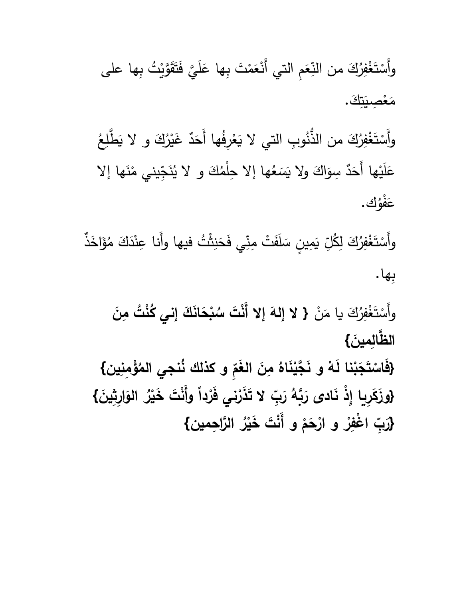نِّعَمِ التي أَنْعَمْتَ َ َ وأَسْتَغْفِرُكَ من النِّعَمِ التي أَنْعَمْتَ بِها عَلَيَّ فَتَقَوَّيْتُ بِها على َ ُ<br>و ْ  $\sum$  $\overline{a}$ <u>ء</u>  $\ddot{\phantom{0}}$ مُصِيَةِ ْ ا<br>ا مَعْصِيَتِكَ. َ

 $\zeta$ وأَسْتَغْفِرُكَ من الذُّنُوبِ التي لا يَعْرِفُها أَحَدٌ غَيْرُكَ و لا يَطَّلِعُ  $\ddot{\phantom{0}}$ َ ْ <u>َ</u><br>= َ ْ ْ تِّيني مْنَها إلا ا<br>ا نَجِّ<br>نُجَّ مُها إلا حِلْمُكَ و لا يُا عَلَيْها أَحَدٌ سِوَاكَ ولا يَسَعُ ً<br>ً ء<br>ر َ <u>ّ</u> ُك. ْو ف َ ع

ِّ يَمِينٍ سَلَ<mark>فَت</mark>ْ َ َ وأَسْتَغْفِرُكَ لِكُلِّ يَمِينٍ سَلَفَتْ مِنِّي فَحَنِثْتُ فيها وأَنا عِنْدَكَ مُؤَلِخَذٌ َ ْ ْ َ ُ<br>ا ام<br>ا ثْثُ فيها وأَنا عِنْدَكَ مُ نا<br>ا <u>ا</u> ش<br>أ ِبها.

وأَسْتَغْفِرُكَ يا مَنْ { لا إِلهَ إِلا أَنْتَ سُبْحَانَكَ إِني كُنْتُ مِنَ َ .<br>و ـا<br>. ا<br>ا **َ ُ ْ َت س إال أَن ال إله َ َ الظَّالِمِينَ}** 

**{ ين ِ ْؤِمن ُ ُنجي الم ِ و كذلك ن** فَاسْتَجَبْنا لَـهْ و نَجَّيْنَاهُ مِنَ الـغَمِّ و كذلك نُنجي المُؤْمِنِين**} َ َ ْ َ ْ َ ْ** {وزَكَرِيا إِذْ نَادى رَبَّهُ رَبِّ لا تَذَرْنِي فَرْداً وأَنْتَ خَيْرُ الوَارِثِينَ} **َ َ َ َ ْ ْ الَّار ِح { مين ُ ْر ْ َت َخي و أَن م ْح ْ و ار ر ا ْغفِ ِ ْ َ** رَبِّ اغْفِرْ و ارْحَمْ و أَنْتَ خَيْرُ الرَّاحِمين**}**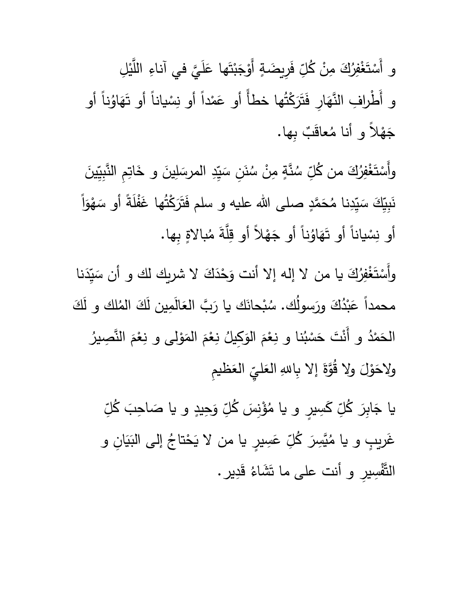ِّ فَرِيضَةٍ <u>ہ</u> و أَسْتَغْفِرُكَ مِنْ كُلِّ فَرِيضَةٍ أَوْجَبْتَها عَلَيَّ في آناءِ اللَّيْلِ َ ْ ْ <u>ّ</u>  $\overline{a}$ <u>ء</u> ْ  $\ddot{\phantom{1}}$ <u>ٔ</u> و أَطْرافِ النَّهَارِ فَتَرَكْتُها خطأً أو عَمْداً أو نِسْياناً أو تَهَاوُناً أو َ َ عَمْداً أو نِسْياناً أو تَهَاوُن َ ْ ا<br>ا <u>م</u> ٌب ِبها. عاق <u>ة</u> <mark>ف</mark>لا و أنا مُ  $\ddot{ }$ ج

نَنِ سَيِّدِ الم ً<br>ب ُبا نَّةٍ م*ِنْ* سُا ــ<br>ا ِ سُد وأَسْتَغْفِرُكَ من كُلِّ سُنَّةٍ مِنْ سُنَنِ سَيِّدِ المرسَلِينَ و خَاتِمِ النَّبِيِّينَ َ ْ ْ <u>َ</u> َ ا<br>ا نَبِيِّكَ سَيِّدِنا مُحَمَّدٍ صلى الله عليه و سلم فَتَرَكْتُها غَفْلَةً أو ً<br>ا َ مُحَمَّدٍ صلى الله عليه و سلم فَتَرَكْتُها غَفْلَةً أَو سَهْوَاً ء<br>م **أ** ً<br>أ أَو نِسْياناً أَو تَهَاوُناً ْ ُ تَهَاوُناً أو جَهْلاً أو قِلَّةَ مُبالاةٍ بِها. َ جَهْلاً أو قِلَّةَ مُ  $\ddot{\phantom{1}}$ 

وأَسْتَغْفِرُكَ يا من لا إله إلا أنت وَحْدَكَ لا شريك لك و أن سَيِّدَنا َ ْ ْ لا إله إلا أنت وَحْدَكَ لا شريك لك و أن سَ ـ<br>ـ<br>ـ <u>و</u> محمداً عَبْدُكَ ورَسولك. سُبْحانَك يا رَبَّ العَالمِين لكَ المُلك و لكَ .<br>ا ا<br>ا بْحانَك يا رَبَّ ا<mark>لعَالَمِين لَ</mark>كَ المُا .<br>ا َ َ ـ<br>ا عَبْدُكَ ورَسولك. سُ ُ<br>ا∗ <u>ء</u> ُ نِعْمَ المَوْلى و نِعْمَ النَّصِيرُ مُ ْ <u>ٔ</u> ا<br>ا مُ **و**  $\overline{a}$ نا و نِعْمَ الوَكِيلُ ء<br>ر مُ ْ .<br>أ الْحَمْدُ و أَنْتَ حَسْبُه ْ ا<br>ا َ يّ العَظيمِ<br>پ  $\ddot{\phantom{0}}$ ولاحَوْلَ ولا قُوَّةَ إلا بِاللهِ الْعَليِّ َ َ  $\overline{\phantom{0}}$ <u>ٔ</u> َ

ِحيدٍ ِ و <u>و</u> ۇْنِسَ كُلِّ ا<br>ا ا<br>ا ِّ كَسِيرٍ و يا مُ َ يا جَابِرَ كُلِّ كَسِيرٍ و يا مُؤْنِسَ كُلِّ وَحِيدٍ و يا صَاحِبَ كُلِّ َ **ٔ** و يا صَاحِبَ كُلِّ **∶** ا<br>ا غَريبٍ و يا مُيَّسِرَ كُلِّ عَسِيرٍ يا من لا يَحْتاجُ إلى النِيَانِ و <u>ً</u> َبَاءِ<br>پا  $\tilde{\zeta}$ ِّ عَسِيرٍ يا من لا يَحْتاجُ **ـ** <u>م</u> يَّسِرَ كُلِّ َ ا<br>ا و يا م ير َدِ ق التَّفْسِيرِ و أنت على ما تَشَاءُ قَدِيرٍ.  $\ddot{\bf s}$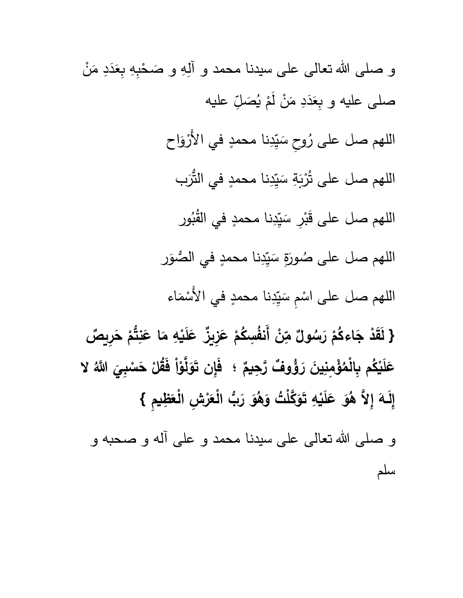و صلى الله تعالى على سيدنا محمد و آلِهِ و صَحْبِهِ بِعَدَدِ مَنْ ْ َ ا<br>ا  $\ddot{ }$ َ ِ عليه  $\frac{1}{\epsilon}$ صَلِّ َ .<br>ا صلى عليه و بِعَدَدِ مَنْ لَمْ يُ ْ .<br>-ا<br>ا  $\ddot{ }$ َ ُر<br>م اللهم صل على رُوحِ سَيِّدِنا محمدٍ في الأَرْوَاح <u>و</u> .<br>م ً<br>ب اللهم صل على تُرْبَةِ سَيِّدِنا محمدٍ في التُّرَب ً<br>ب .<br>∶ **ـ** ور .<br>أ اللهم صل على قَبْرِ سَيِّدِنا محمدٍ في القُبُ<sup>ر</sup> ً<br>ب :<br>أح ورَةِ سَيِّدِنا محمدٍ في الصُّوَر ء<br>م ً<br>ب َ ا<br>ا اللهم صل على ص اللهم صل على اسْمِ سَيِّدِنا محمدٍ في الأَسْمَاء ا<br>ا ْ ً<br>ب ْ **} ْ َقد َل م ُ اءك ج ْ َ ول** رَ<mark>سُولٌ مِّنْ</mark>  مِّنْ أَنفُسِكُمْ عَزِيزٌ عَلَيْهِ مَا عَنِتُّمْ هَرِيصٌ **ْ ْ َ َ َ ْ َ َ** عَلَيْكُم بِالْمُؤْمِنِينَ رَؤُوفٌ رَّحِيمٌ **ْ** رَّحِيمٌ ؛ فَإِن تَوَلَّوْاْ فَقُلْ حَسْبِ*يَ* اللَّهُ لا **ْ َ ْ َ ْ** لَـهَ إِلاَّ هُوَ عَلَيْهِ تَوَكَّلْتُ وَهُوَ رَبُّ الْعَرْشِ الْعَظِيمِ } **َ إِ َ ْ َ َ َ َ** و صلى الله تعالى على سيدنا محمد و على آله و صحبه و سلم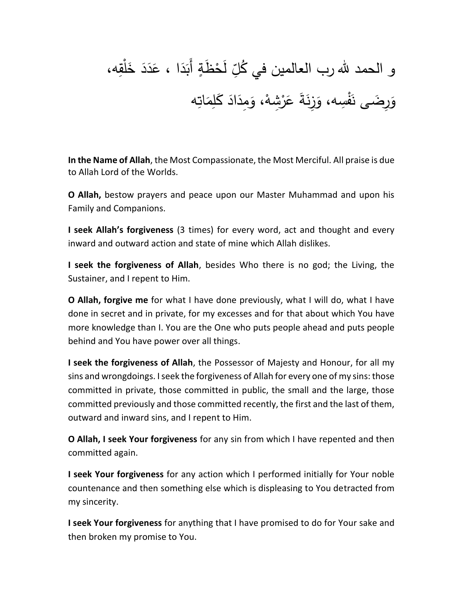## ِّ لَحْظَةٍ أَبَدَا ، عَدَدَ خَلْقِه،  $\overline{\phantom{a}}$  $\ddot{ }$ <u>م</u>  $\ddot{ }$ َبَا<br>أ ْ و الحمد لله رب العالمين في كُلِّ رِضَى نَفْسِه، وَزِنَةَ عَرْشِهْ، وَمِدَادَ كَلِمَاتِه ا<br>ا َ  $\ddot{ }$ ء<br>ر **ا ـ** <u>و</u> **ٔ** ان<br>ا ء<br>ر قر

**In the Name of Allah**, the Most Compassionate, the Most Merciful. All praise is due to Allah Lord of the Worlds.

**O Allah,** bestow prayers and peace upon our Master Muhammad and upon his Family and Companions.

**I seek Allah's forgiveness** (3 times) for every word, act and thought and every inward and outward action and state of mine which Allah dislikes.

**I seek the forgiveness of Allah**, besides Who there is no god; the Living, the Sustainer, and I repent to Him.

**O Allah, forgive me** for what I have done previously, what I will do, what I have done in secret and in private, for my excesses and for that about which You have more knowledge than I. You are the One who puts people ahead and puts people behind and You have power over all things.

**I seek the forgiveness of Allah**, the Possessor of Majesty and Honour, for all my sins and wrongdoings. I seek the forgiveness of Allah for every one of my sins: those committed in private, those committed in public, the small and the large, those committed previously and those committed recently, the first and the last of them, outward and inward sins, and I repent to Him.

**O Allah, I seek Your forgiveness** for any sin from which I have repented and then committed again.

**I seek Your forgiveness** for any action which I performed initially for Your noble countenance and then something else which is displeasing to You detracted from my sincerity.

**I seek Your forgiveness** for anything that I have promised to do for Your sake and then broken my promise to You.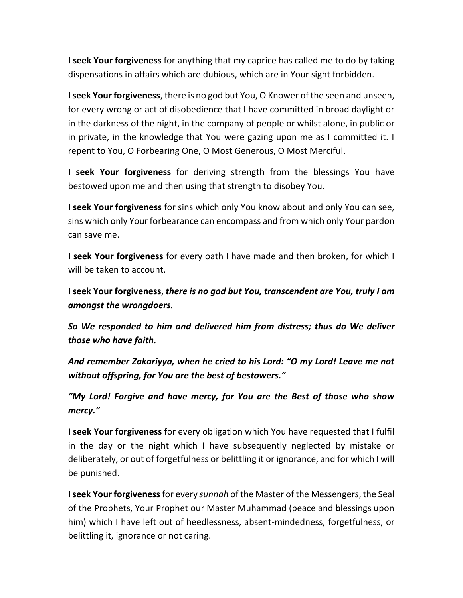**I seek Your forgiveness** for anything that my caprice has called me to do by taking dispensations in affairs which are dubious, which are in Your sight forbidden.

**I seek Your forgiveness**, there is no god but You, O Knower of the seen and unseen, for every wrong or act of disobedience that I have committed in broad daylight or in the darkness of the night, in the company of people or whilst alone, in public or in private, in the knowledge that You were gazing upon me as I committed it. I repent to You, O Forbearing One, O Most Generous, O Most Merciful.

**I seek Your forgiveness** for deriving strength from the blessings You have bestowed upon me and then using that strength to disobey You.

**I seek Your forgiveness** for sins which only You know about and only You can see, sins which only Your forbearance can encompass and from which only Your pardon can save me.

**I seek Your forgiveness** for every oath I have made and then broken, for which I will be taken to account.

**I seek Your forgiveness**, *there is no god but You, transcendent are You, truly I am amongst the wrongdoers.* 

*So We responded to him and delivered him from distress; thus do We deliver those who have faith.* 

*And remember Zakariyya, when he cried to his Lord: "O my Lord! Leave me not without offspring, for You are the best of bestowers."*

*"My Lord! Forgive and have mercy, for You are the Best of those who show mercy."*

**I seek Your forgiveness** for every obligation which You have requested that I fulfil in the day or the night which I have subsequently neglected by mistake or deliberately, or out of forgetfulness or belittling it or ignorance, and for which I will be punished.

**I seek Your forgiveness**for every *sunnah* of the Master of the Messengers, the Seal of the Prophets, Your Prophet our Master Muhammad (peace and blessings upon him) which I have left out of heedlessness, absent-mindedness, forgetfulness, or belittling it, ignorance or not caring.